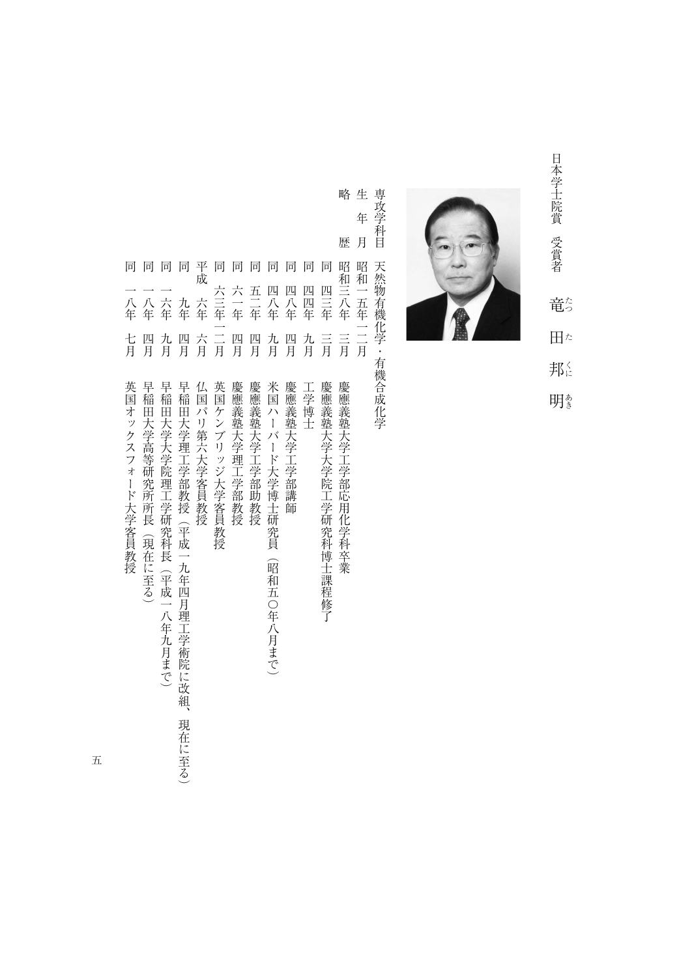日本学士院賞 受賞者 日本学生派の エコー コーニング 竜。 たつたくにあき 田た 邦に

明き



略生 専攻学科目 専攻学科目天然物有機化学・有機合成化学 年 歴 月 天然物有機化学・有機合成化学

|                      |                                          |                                                                                                        |                                                                                     |                  |                |              |                        |                                                          |                 |                  |                                             |                               | 年      |
|----------------------|------------------------------------------|--------------------------------------------------------------------------------------------------------|-------------------------------------------------------------------------------------|------------------|----------------|--------------|------------------------|----------------------------------------------------------|-----------------|------------------|---------------------------------------------|-------------------------------|--------|
|                      |                                          |                                                                                                        |                                                                                     |                  |                |              |                        |                                                          |                 |                  |                                             | 歴                             | 月      |
| 同                    | 同                                        | 同                                                                                                      | 同                                                                                   | 平<br>成           | 同              | 同            | 同                      | 同                                                        | 同               | 同                | 同                                           | 昭<br>和                        | 昭<br>和 |
| 八年                   | 八年                                       | 六年                                                                                                     | 九<br>年                                                                              | 六年               | 六三年            | 六<br>年       | 五<br>军                 | 匹<br>八年                                                  | 匹<br>八<br>年     | 匹<br>匹<br>…<br>年 | 匹<br>Ξ<br>军                                 | Ξ<br>八年                       | 五年     |
| 七月                   | 匹<br>月                                   | 九月                                                                                                     | 四<br>.<br>月                                                                         | 六月               | 二月             | 四<br>肎       | 四<br>月                 | 九月                                                       | 四<br>月          | 九<br>肎           | Ξ<br>月                                      | Ξ<br>月                        | 二月     |
| 英<br>国オックスフォード大学客員教授 | 早<br>稲<br>田大学高等研究所:<br>所<br>長<br>(現在に至る) | 早<br>稲<br>田<br>:大学大学院理<br>Į<br>学研究科<br>長<br>$\overline{\phantom{0}}$<br>平<br>成<br>二八年<br>尢<br>一月ま<br>で | 早<br>稲<br>田大学理工学部教授<br>: (平成<br>二九<br>年<br>四<br>月<br>理<br>Т.<br>学術院に改<br>絚<br>現在に至る | 仏<br>国パリ第六大学客員教授 | 英国ケンブリッジ大学客員教授 | 慶應義塾大学理工学部教授 | 慶應義塾大学工学部:<br>助<br>一教授 | 米<br>囸<br>ハーバー<br>ド大学博士研究員<br>昭<br>和五<br>一〇年<br>八月ま<br>で | 慶應義塾大学工学部講<br>師 | I<br>一学博士        | 慶<br>(應義塾大学大学院)<br>T.<br>学研究科<br>博士<br>課程修了 | 慶應義塾大学工学部応<br>用化<br>学科<br>-卒業 |        |

五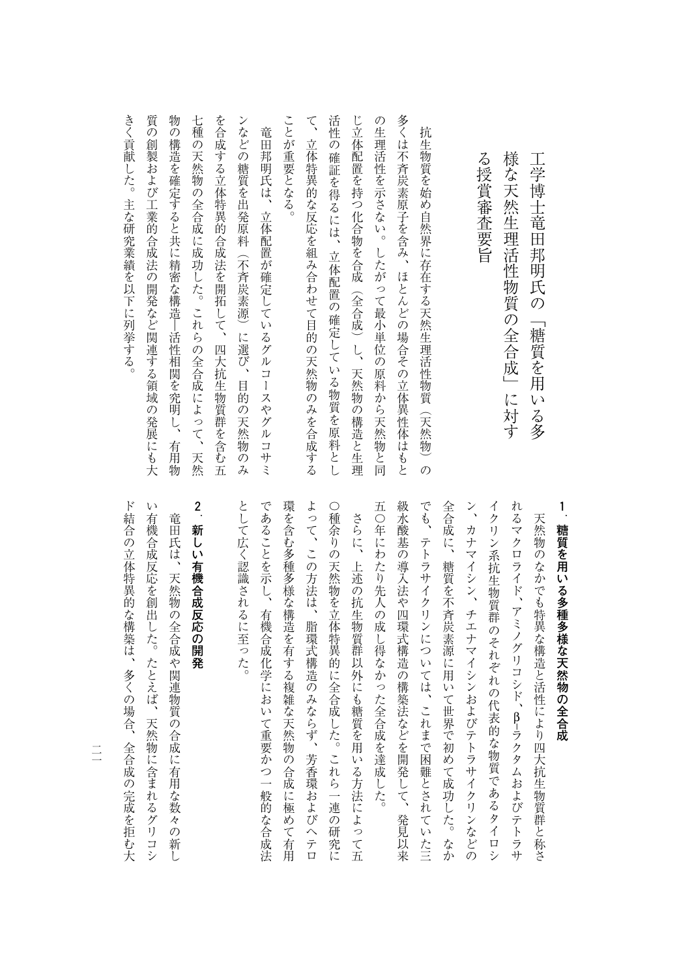| 様な天然生理活性物質の全合成」に対す                                         |  |
|------------------------------------------------------------|--|
|                                                            |  |
| る授賞審査要旨                                                    |  |
|                                                            |  |
| 抗生物質を始め自然界に存在する天然生理活性物質(天然物)の                              |  |
| 多くは不斉炭素原子を含み、ほとんどの場合その立体異性体はもと                             |  |
| の生理活性を示さない。したがって最小単位の原料から天然物と同                             |  |
| じ立体配置を持つ化合物を合成(全合成)し、<br>天然物の構造と生理                         |  |
| 活性の<br>確証を得るには、<br>立体配置の確定している物質を原料とし                      |  |
| $\zeta$<br>立体特異的な反応を組み合わせて目的の天然物のみを合成する                    |  |
| ことが重要となる。                                                  |  |
| 竜田邦明氏は、立体配置が確定しているグルコースやグルコサミ                              |  |
| ンなどの糖質を出発原料(不斉炭素源)に選び、目的の天然物のみ                             |  |
| を合成する立体特異的合成法を開拓して、四大抗生物質群を含む五                             |  |
| 七種<br>の天然物の全合成に成功した。これらの全合成によって、天然                         |  |
| 物<br>の構造を確定すると共に精密な構造―活性相関を究明し、<br>有用物                     |  |
| 質<br>$\tilde{\mathcal{O}}$<br>創製および工業的合成法の開発など関連する領域の発展にも大 |  |
| きく貢献した。主な研究業績を以下に列挙する。                                     |  |

**1 糖質を用いる多種多様な天然物の全合成**

工学博士竜田邦明氏の「糖質を用いる多

工学博士竜田邦明氏の「糖質を用いる多

級水酸基の導入法や四環式構造の構築法などを開発して、発見以来 でも、テトラサイクリンについては、これまで困難とされていた三 れるマクロライド、アミノグリコシド、β-ラクタムおよびテトラサ 五〇年にわたり先人の成し得なかった全合成を達成した。 全合成に、糖質を不斉炭素源に用いて世界で初めて成功した。なか イクリン系抗生物質群のそれぞれの代表的な物質であるタイロシ ン、カナマイシン、チエナマイシンおよびテトラサイクリンなどの 五〇年にわたり先人の成し得なかった全合成を達成した。 級水酸基の導入法や四環式構造の構築法などを開発して、発見以来 でも、それまでは、これまでは、これまでは、これまでは、これまでは、これまでは、これまでは、これまでは、これまでは、これまでは、これまでは、これまでは、これまでは、これまでは、これまでは、これまでは、こ 全合成に、糖質を不斉炭素源に用いて世界で初めて成功した。なか ン、カナマイシン、チエナマイシンおよびテトラサイクリンなどの イクリン系抗生物質群のそれぞれの代表的な物質であるタイロシ れるマクロライド、 アミノグリコシド、β–天然物のなかでも特異な構造と活性により四大抗生物質群と称さ 大統領などのなかでも特異なので、そのようには、そのようには、そのようには、そのようには、そのようには、そのようには、そのようには、そのようには、そのようには、そのようには、そのようには、そのようには、

環を含む多種多様な構造を有する複雑な天然物の合成に極めて有用 として広く認識されるに至った。 であることを示し、有機合成化学において重要かつ一般的な合成法 よって、この方法は、脂環式構造のみならず、芳香環およびヘテロ ○種余りの天然物を立体特異的に全合成した。これら一連の研究に として広く認識されるに至った。 であることを示し、有機合成化学において重要がついて重要がついて重要がついて重要がついて重要がついて重要がついて重要がついて重要がついて重要がついて重要がついて重要がついて重要がついて重要がついて重要が 環を含む多種多様な構造を有する複雑な天然物の合成に極めて有用 この方法は、 ほうしゃ この方法 はならならず この方法 はならならず この方法 しゅうしゅう この方法 しゅうしゅう こうしゅう こうしゅう こうしゅう こうしゅう こうしゅう つき こんしゅう こうしゅうしゅ こうしゅう こうしゅう こうしゅう こうしゅう こうしゅう こうしゅう こうしゅう こうしゅう こうしゅう こうしゅう こうしゅう こうしゅう さらに、上述の抗生物質群以外にも糖質を用いる方法によって五 さらに、上述の抗生物質がある方法によって五種の抗生物質がある方法によって五種の抗生物質がある方法によって五種の抗生物質がある方法によって五種の抗生物質がある方法によって五種の抗生物質がある方法によって

## **2 新しい有機合成反応の開発**

い有機合成反応を創出した。たとえば、天然物に含まれるグリコシ ド結合の立体特異的な構築は、多くの場合、全合成の完成を拒む大 ド族の立体学 大統領 こうしゅう こうしゅう こうしゅう こうしゅう こうしゅう こうしゅう こうしゅう こうしゅう こうしゅう こうしゅう こうしゅう こうしゅう こうしゅう こうしゅう いたんな いちのう こうしょう こうしゅう こうしゅう こうしゅう こうしょう こうしょう こうしょう こうしょう こうしょう こうしょう 竜田氏は、天然物の全合成や関連物質の合成に有用な数々の新し 竜田氏は、天然物の全合成の全合成の全合成の全合成の全合成に有用な数々の新しい。

 $\equiv$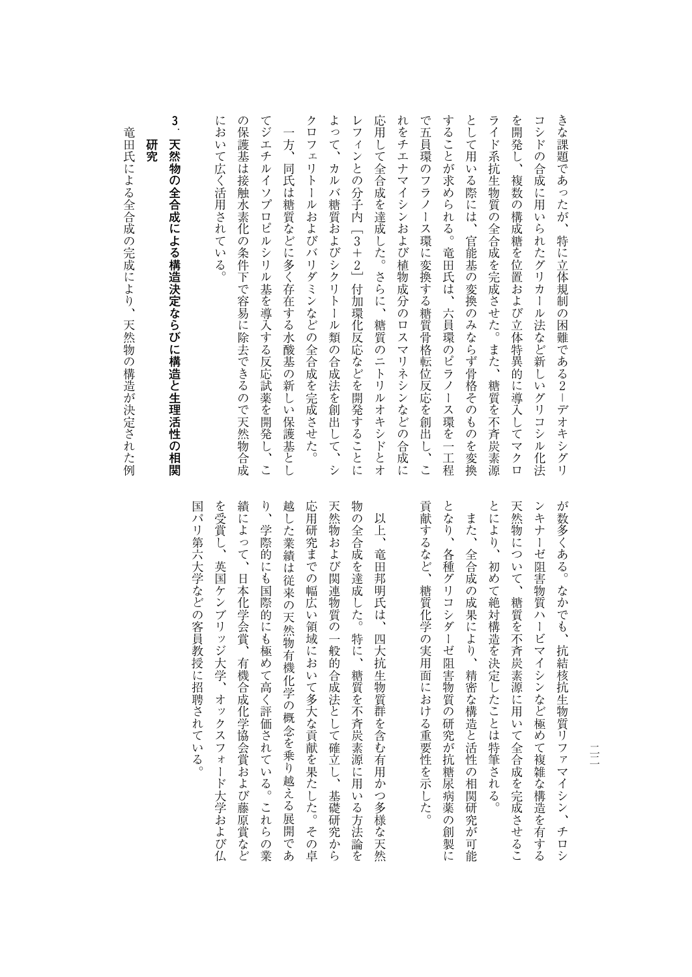| こくがし、これはここに事にとっていばこ、青年ここ里に生く目見                                                                                                    |
|-----------------------------------------------------------------------------------------------------------------------------------|
| に<br>おいて広く活用されている。                                                                                                                |
| の<br>保<br>護基は接触水素化の条件下で容易に除去できるので天然物合成                                                                                            |
| てジエチ<br>$\mathcal{V}$<br>$\overline{\Lambda}$<br>ソプロピルシ<br>リル基を導入する反応試薬を開<br>発<br>$\overline{L}$<br>こ                             |
| $\overline{\phantom{0}}$<br>方<br>同<br>氏は糖質などに多く存在する水酸基の新し<br>Ū<br>保護基とし                                                           |
| ク<br>$\Box$<br>フェ<br>リト<br>$\sf l$<br>ルおよびバリダミンなどの全合成を完成させた。                                                                      |
| よって、<br>カルバ糖質およびシクリトール類<br>の合成法を創出<br>して、<br>シ                                                                                    |
| レ<br>フィンとの分子内 [3+2] 付加環化反応などを開発することに                                                                                              |
| 応<br>涌し<br>て全合成を達成した。<br>さらに、<br>糖質のニトリ<br>ルオキシ<br>ドとオ                                                                            |
| れ<br>をチエ<br>ナ<br>マイシンおよび植物成分のロスマリネシン<br>などの<br>合成に                                                                                |
| で五員環<br>$\overline{\mathcal{O}}$<br>フラ<br>X<br>$\begin{array}{c} \hline \end{array}$<br>ス環に変換する糖質骨格転位反応を創出<br>$\overline{L}$<br>こ |
| することが<br>求められる。<br>竜田氏は、六員環のピラノー<br>ス環を<br>一工程                                                                                    |
| とし<br>こ<br>用<br>いる際には、<br>官能基の変換のみならず骨格そのものを変換                                                                                    |
| ライド系抗生物質の全合成を完成させた。また、<br>糖質を不斉炭素源                                                                                                |
| を開発し、<br>複数の構成糖を位置および立体特異的に導入して<br>マクロ                                                                                            |
| コシ<br>ドの合成に用<br>いられたグリカール<br>法など新し<br>いグ<br>リコシ<br>ル<br>化法                                                                        |
| きな課題であったが、<br>特に立体規制の困難である2–デオキシグリ                                                                                                |

# **3** 天然物の全合成による構造決定ならひに構造と生理涅性の相関 **天然物の全合成による構造決定ならびに構造と生理活性の相関**

竜田氏による全合成の完成により、天然物の構造が決定された例 竜田氏による全合成の完成により、天然物の構造が決定された例により、天然物の構造が決定された例により、天然物の構造が決定された例により、天然物の構造が決定された例により、天然物の構造が決定された例により

**研究**

研究

とにより、初めて絶対構造を決定したことは特筆される。 天然物について、糖質を不斉炭素源に用いて全合成を完成させるこ ンキナーゼ阻害物質ハービマイシンなど極めて複雑な構造を有する が数多くある。なかでも、抗結核抗生物質リファマイシン、チロシ とには、それは、それは特筆される。 わかり かいしゅう かいしゅう あいしゅう かいしゅう かいしゅう かいしゅう かいしゅう かいしゅう かいしゅう かいしゅう かいしゅう かいしゅう かいしゅう かいしゅう かいしゅう 天然物には、精神的には、精神的に用いて、精神的に用いて全合成させることを実現させることを実現させることを実現させることを実現させることを実現させることを実現させることを実現させることを実現させることを ンキナーゼ阻害物質ハービマイシンなど極めて複雑な構造を有する かいしゃ いちかん かいしゅう かんきょう かんしゅう かんしゅう かんしゅう かんしゅう かんしゅう かんしゅう かんしゅう かんしゅう かんしゅう かんしゅう かんしゅう かんしゅう

貢献するなど、糖質化学の実用面における重要性を示した。 となり、各種グリコシダーゼ阻害物質の研究が抗糖尿病薬の創製に 貢献するなど、糖質化学の実用面における重要性を示した。 となり、各種グリコシダーゼ阻害物質の研究が抗糖尿病薬の創製に また、全合成の成果により、精密な構造と活性の相関研究が可能 という こうしゅう こうしゅう こうしゅう こうしゅう こうしゅう こうしゅう こうしゅう こうしゅう こうしゅう こうしゅう こうしゅう こうしゅう こうしゅう

国パリ第六大学などの客員教授に招聘されている。 を受賞し、英国ケンブリッジ大学、オックスフォード大学および仏 績によって、日本化学会賞、有機合成化学協会賞および藤原賞など り、学際的にも国際的にも極めて高く評価されている。これらの業 越した業績は従来の天然物有機化学の概念を乗り越える展開であ 応用研究までの幅広い領域において多大な貢献を果たした。その卓 天然物および関連物質の一般的合成法として確立し、基礎研究から 物の全合成を達成した。特に、糖質を不斉炭素源に用いる方法論を 国代の名前には、日本大学などの名前には、日本大学などの名前には、日本大学などの名前には、日本大学などの名前には、日本大学などの名前には、日本大学などの名前には、日本大学などの名前には、日本大学などの名 大学、大学、オックスフォード大学、オックスフォード大学、オックスフォード大学、オックスフォード大学、オックスフォード大学、オックスフォード大学、オックスフォード大学 はいしょう スイー・コード スイー・スイー・スイー・コード こうしょう スイー・スイー・エー り、学際的にも国際的にも最も無料をある。これらの業務をある。これらの業務をある。これらの業務をある。これらの業務をある。これらの業務をある。これらの業務をある。これらの業務をある。これらの業務をある。 さんじょう こうしゃ こうしゃ こうしゃ かんきょう かんきょう かんきょう かんきょう かんきょう かんきょう かんきょう かんきょう かんきょう かんきょう かんきょう かんきょう かんきょう かんきょう かんきょう たまな たまい こうしゅう こうしゅう こうしゅう こうしゅう こうしゅう こうしゅう こうしゅう こうしゅう こうしゅう こうしゅう こうしゅう こうしゅう こうしゅう 大統領の一般的合成法として提供されている。 こうしゃ こうしゅう こうしゅう こうしゅう こうしゅう こうしゅう こうしゅう こうしゅう こうしゅう こうしゅう こうしゅう こうしゅう こうしゅう こうしゅう こうしゅう 物の全合成を選択した。特に、種類を実現して、種類を実現して、特に、種類を実現して、特に、種類を実現して、特に、種類を実現して、特に、種類を実現して、特に、種類を実現して、特に、種類を実現して、特に、種 以上、竜田邦明氏は、四大抗生物質群を含む有用かつ多様な天然 いち ストール ストール ストール ストール あいしゅう こうきょう アイディング しゅうしゅう こうきょう しゅうしゅう こうきょう こうきょう こうきょう こうきょう こうきょう 従来の天然物有機化学の概念を乗り越える展開であ

 $\equiv$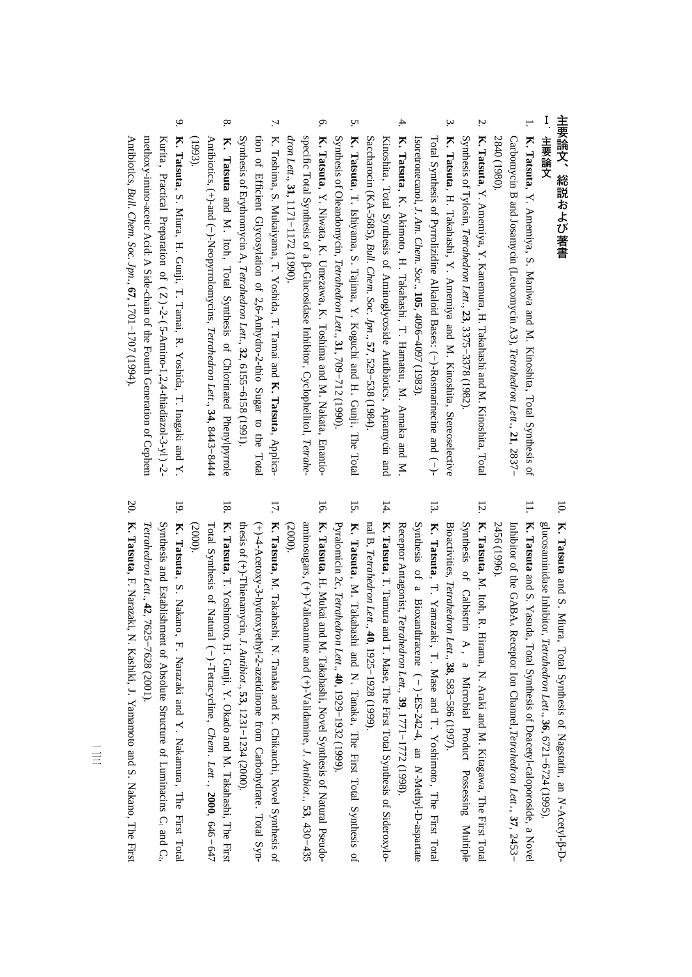### 主要論文、総説および著書 **主要論文、総説および著書**

#### 1.主要論文 **主要論文**

- 1. **K. Tatsuta**, Y. Amemiya, S. Maniwa and M. Kinoshita, Total Synthesis of Carbomycin B and Josamycin (Leucomycin A3), *Tetrahedron Lett*., **21**, 2837− 2840 (1980).
- 2. **K. Tatsuta**, Y. Amemiya, Y. Kanemura, H. Takahashi and M. Kinoshita, Total Synthesis<u>ຊ</u> Tylosin, *Tetrahedron Lett*., **23**, 3375−3378(1982).
- 3. **K. Tatsuta**, H. Takahashi, Y. Amemiya and M. Kinoshita,Stereoselective Isoretronecanol, Total Synthesis of Pyrrolizidine Alkaloid Bases: (−)-Rosmarinecine and (−)- *J. Am. Chem. Soc*., **105**, 4096−4097(1983).
- 4. **K. Tatsuta**, K. Akimoto, H. Takahashi, T. Hamatsu, M. Annaka and M. Saccharocin(KA-5685), Kinoshita, Total Synthesis of Aminoglycoside Antibiotics , Apramycin and *Bull. Chem. Soc. Jpn*., **57**, 529−538(1984).
- 5. **K. Tatsuta**, T. Ishiyama, S. Tajima, Y. Koguchi and H. Gunji, The Total Synthesis of Oleandomycin, *Tetrahedron Lett*., **31**, 709−712(1990).
- 6. **K. Tatsuta**, Y. Niwata, K. Umezawa, K. Toshima and M. Nakata, Enantiospecific Total Synthesis of a β-Glucosidase Inhibitor,Cyclophellitol, *Tetrahedron Lett*., **31**, 1171−1172(1990).
- 7. K. Toshima, S. Mukaiyama, T. Yoshida, T. Tamai and **K. Tatsuta**, Applica-Synthesis<u>ຊ</u> Erythromycintion of Efficient Glycosylation<br>Synthesis of Erythromycin A, Te of 2,6-Anhydro-2-thio Sugar to theon of 2,6-Anhydro-2-thio Sugar to the Total<br>*Tetrahedron Lett*., **32**, 6155−6158 (1991).
- 8. **K . Tatsuta** andM. Itoh, Total Synthesis of Chlorinated Phenylpyrrole Antibiotics, (+)-and (−)-Neopyrrolomycins, *Tetrahedron Lett*., **34**, 8443−8444 (1993).
- 9. **K. Tatsuta**, S. Miura, H. Gunji, T. Tamai, R. Yoshida, T. Inagaki and Y. Antibiotics, methoxy-imino-acetic Acid: $\triangleright$ Side-chain<u>ຊ</u> the Fourth Generation of Cephem Kurita , Practical Preparation of ( Z ) -2- ( 5-Amino-1,2,4-thiadiazol-3-yl ) -2- *Bull. Chem. Soc. Jpn*., **67**, 1701−1707(1994).

- 10. **K. Tatsuta** and S. Miura, Total Synthesis $\Omega$  Nagstatin, an *N*-Acetyl-β-Dglucosaminidase Inhibitor, *Tetrahedron Lett*., **36**, 6721−6724(1995).
- 11. **K. Tatsuta** and S. Yasuda, Total Synthesis of Deacetyl-caloporoside, a Novel Inhibitor<u>ຊ</u> the GABAA Receptor Ion Channel,*Tetrahedron Lett* ., **37**, 2453− 2456 (1996).
- 12. **K. Tatsuta**, M. Itoh, R. Hirama, N. Araki and M. Kitagawa, The First Total Bioactivities, Synthesis $\Omega$ **Calbistrin**  A , a Microbial Product Possessing Multiple *Tetrahedron Lett*., **38**, 583−586(1997).
- 13. **K. Tatsuta**, T. Yamazaki , T . Mase and T . Yoshimoto , The First Total Synthesis of a Bioxanthracene ( − ) -ES-242-4, an *N*-Methyl-D-aspartate Receptor Antagonist, *Tetrahedron Lett.,* **39**, 1771−1772(1998).
- 14. **K. Tatsuta**, T. Tamura and T. Mase, The First Total Synthesis of Sideroxylo- $\mathbb E$  B, *Tetrahedron Lett*., **40**, 1925−1928(1999).
- 15. **K. Tatsuta**, M. Takahashi andN. Tanaka, The First Total Synthesis $\Omega$ Pyralomicin 2c, *Tetrahedron Lett*., **40**, 1929−1932(1999).
- 16. **K. Tatsuta**, H. Mukai and M. Takahashi, Novel Synthesis of Natural Pseudoaminosugars, $(+)$ -Valienamine and (+)-Validamine, *J. Antibiot*., **53**, 430−435 (2000).
- 17. **K. Tatsuta**, M. Takahashi, N. Tanaka and K. Chikauchi, Novel Synthesis of thesis of (+)-Thienamycin, (+)-4-Acetoxy-3-hydroxyethyl-2-azetidinone from Carbohydrate. Total Syn-*J. Antibiot*., **53**, 1231−1234(2000).
- 18. **K. Tatsuta**, T. Yoshimoto, H. Gunji, Y. Okado and M. Takahashi, The First Total Synthesis<u>ຊ</u> Natural (−)-Tetracycline, *Chem.* $Let$  ., **2000**, 646−647  $(2000)$
- 19. **K. Tatsuta**, S. Nakano, F. Narazaki and $\preceq$  Nakamura , The First Total Synthesis and Establishment $\overline{a}$  AbsoluteStructure of Luminacins $\mathsf{C}$ and $C_i$ *Tetrahedron Lett*., **42**, 7625−7628(2001).
- 20. **K. Tatsuta**, F. Narazaki, N. Kashiki, J. Yamamoto and S. Nakano, TheFirst